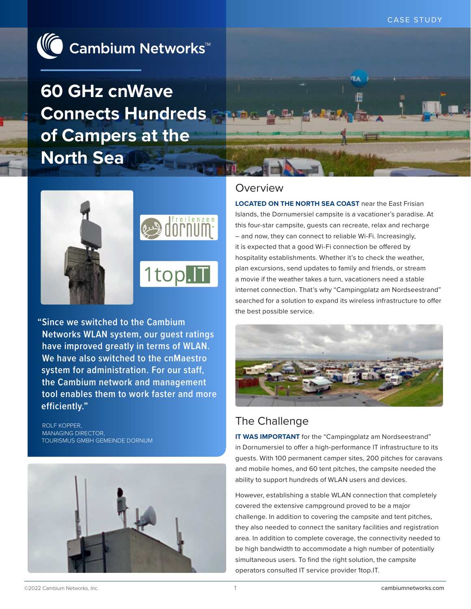

**60 GHz cnWave Connects Hundreds of Campers at the North Sea**





**"Since we switched to the Cambium Networks WLAN system, our guest ratings have improved greatly in terms of WLAN. We have also switched to the cnMaestro system for administration. For our staff, the Cambium network and management tool enables them to work faster and more efficiently."**

ROLF KOPPER, MANAGING DIRECTOR, TOURISMUS GMBH GEMEINDE DORNUM



### Overview

**LOCATED ON THE NORTH SEA COAST** near the East Frisian Islands, the Dornumersiel campsite is a vacationer's paradise. At this four-star campsite, guests can recreate, relax and recharge – and now, they can connect to reliable Wi-Fi. Increasingly, it is expected that a good Wi-Fi connection be offered by hospitality establishments. Whether it's to check the weather, plan excursions, send updates to family and friends, or stream a movie if the weather takes a turn, vacationers need a stable internet connection. That's why "Campingplatz am Nordseestrand" searched for a solution to expand its wireless infrastructure to offer the best possible service.

冊



# The Challenge

**IT WAS IMPORTANT** for the "Campingplatz am Nordseestrand" in Dornumersiel to offer a high-performance IT infrastructure to its guests. With 100 permanent camper sites, 200 pitches for caravans and mobile homes, and 60 tent pitches, the campsite needed the ability to support hundreds of WLAN users and devices.

However, establishing a stable WLAN connection that completely covered the extensive campground proved to be a major challenge. In addition to covering the campsite and tent pitches, they also needed to connect the sanitary facilities and registration area. In addition to complete coverage, the connectivity needed to be high bandwidth to accommodate a high number of potentially simultaneous users. To find the right solution, the campsite operators consulted IT service provider 1top.IT.